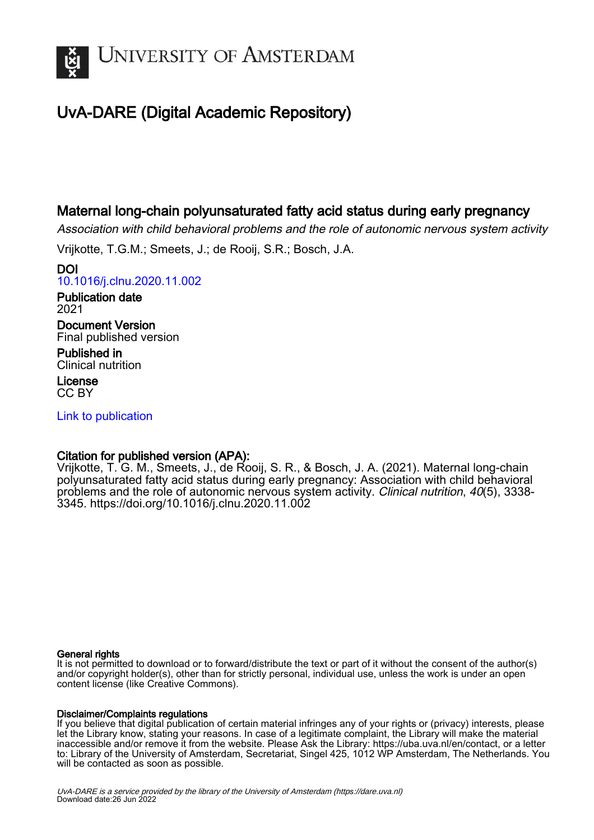

# UvA-DARE (Digital Academic Repository)

## Maternal long-chain polyunsaturated fatty acid status during early pregnancy

Association with child behavioral problems and the role of autonomic nervous system activity

Vrijkotte, T.G.M.; Smeets, J.; de Rooij, S.R.; Bosch, J.A.

DOI [10.1016/j.clnu.2020.11.002](https://doi.org/10.1016/j.clnu.2020.11.002)

Publication date 2021

Document Version Final published version

Published in Clinical nutrition

License CC BY

[Link to publication](https://dare.uva.nl/personal/pure/en/publications/maternal-longchain-polyunsaturated-fatty-acid-status-during-early-pregnancy(3ca40bc1-c13f-4448-89c4-da33de16083b).html)

### Citation for published version (APA):

Vrijkotte, T. G. M., Smeets, J., de Rooij, S. R., & Bosch, J. A. (2021). Maternal long-chain polyunsaturated fatty acid status during early pregnancy: Association with child behavioral problems and the role of autonomic nervous system activity. Clinical nutrition, 40(5), 3338- 3345.<https://doi.org/10.1016/j.clnu.2020.11.002>

### General rights

It is not permitted to download or to forward/distribute the text or part of it without the consent of the author(s) and/or copyright holder(s), other than for strictly personal, individual use, unless the work is under an open content license (like Creative Commons).

### Disclaimer/Complaints regulations

If you believe that digital publication of certain material infringes any of your rights or (privacy) interests, please let the Library know, stating your reasons. In case of a legitimate complaint, the Library will make the material inaccessible and/or remove it from the website. Please Ask the Library: https://uba.uva.nl/en/contact, or a letter to: Library of the University of Amsterdam, Secretariat, Singel 425, 1012 WP Amsterdam, The Netherlands. You will be contacted as soon as possible.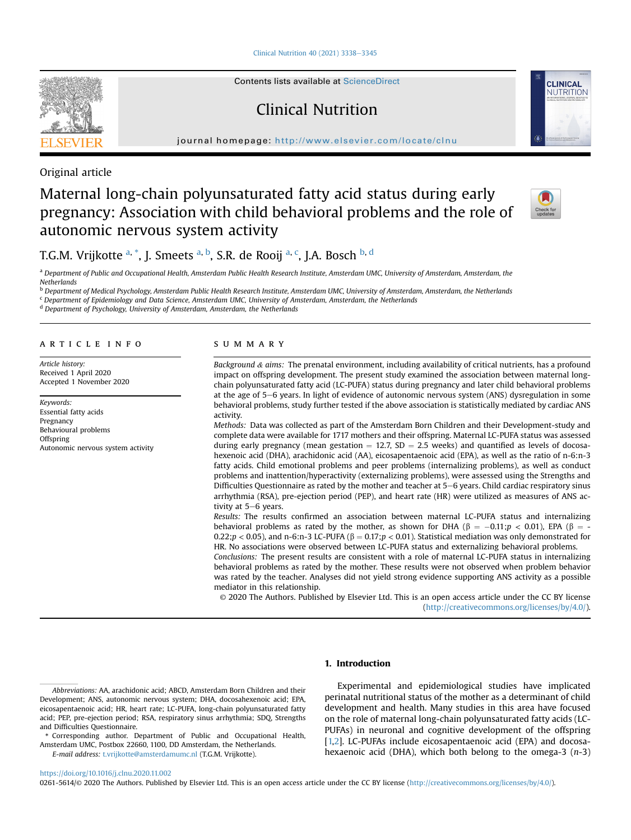[Clinical Nutrition 40 \(2021\) 3338](https://doi.org/10.1016/j.clnu.2020.11.002)-[3345](https://doi.org/10.1016/j.clnu.2020.11.002)

Contents lists available at ScienceDirect

# Clinical Nutrition

journal homepage: <http://www.elsevier.com/locate/clnu>





Original article

## Maternal long-chain polyunsaturated fatty acid status during early pregnancy: Association with child behavioral problems and the role of autonomic nervous system activity



### T.G.M. Vrijkotte <sup>[a,](#page-1-0) [\\*](#page-1-1)</sup>, J. Smeets <sup>a, [b](#page-1-2)</sup>, S.R. de Rooij <sup>[a](#page-1-0), [c](#page-1-3)</sup>, J.A. Bosch <sup>b, [d](#page-1-4)</sup>

<span id="page-1-0"></span><sup>a</sup> Department of Public and Occupational Health, Amsterdam Public Health Research Institute, Amsterdam UMC, University of Amsterdam, Amsterdam, the Netherlands

<span id="page-1-2"></span>**b** Department of Medical Psychology, Amsterdam Public Health Research Institute, Amsterdam UMC, University of Amsterdam, Amsterdam, the Netherlands

<span id="page-1-3"></span><sup>c</sup> Department of Epidemiology and Data Science, Amsterdam UMC, University of Amsterdam, Amsterdam, the Netherlands

<span id="page-1-4"></span><sup>d</sup> Department of Psychology, University of Amsterdam, Amsterdam, the Netherlands

#### article info

Article history: Received 1 April 2020 Accepted 1 November 2020

Keywords: Essential fatty acids **Pregnancy** Behavioural problems Offspring Autonomic nervous system activity

#### SUMMARY

Background  $&$  aims: The prenatal environment, including availability of critical nutrients, has a profound impact on offspring development. The present study examined the association between maternal longchain polyunsaturated fatty acid (LC-PUFA) status during pregnancy and later child behavioral problems at the age of 5-6 years. In light of evidence of autonomic nervous system (ANS) dysregulation in some behavioral problems, study further tested if the above association is statistically mediated by cardiac ANS activity.

Methods: Data was collected as part of the Amsterdam Born Children and their Development-study and complete data were available for 1717 mothers and their offspring. Maternal LC-PUFA status was assessed during early pregnancy (mean gestation  $= 12.7$ , SD  $= 2.5$  weeks) and quantified as levels of docosahexenoic acid (DHA), arachidonic acid (AA), eicosapentaenoic acid (EPA), as well as the ratio of n-6:n-3 fatty acids. Child emotional problems and peer problems (internalizing problems), as well as conduct problems and inattention/hyperactivity (externalizing problems), were assessed using the Strengths and Difficulties Questionnaire as rated by the mother and teacher at 5–6 years. Child cardiac respiratory sinus arrhythmia (RSA), pre-ejection period (PEP), and heart rate (HR) were utilized as measures of ANS activity at 5-6 years.

Results: The results confirmed an association between maternal LC-PUFA status and internalizing behavioral problems as rated by the mother, as shown for DHA ( $\beta = -0.11$ ; $p < 0.01$ ), EPA ( $\beta = -1$ 0.22; $p < 0.05$ ), and n-6:n-3 LC-PUFA ( $\beta = 0.17$ ; $p < 0.01$ ). Statistical mediation was only demonstrated for HR. No associations were observed between LC-PUFA status and externalizing behavioral problems.

Conclusions: The present results are consistent with a role of maternal LC-PUFA status in internalizing behavioral problems as rated by the mother. These results were not observed when problem behavior was rated by the teacher. Analyses did not yield strong evidence supporting ANS activity as a possible mediator in this relationship.

© 2020 The Authors. Published by Elsevier Ltd. This is an open access article under the CC BY license [\(http://creativecommons.org/licenses/by/4.0/](http://creativecommons.org/licenses/by/4.0/)).

#### 1. Introduction

<span id="page-1-1"></span>\* Corresponding author. Department of Public and Occupational Health, Amsterdam UMC, Postbox 22660, 1100, DD Amsterdam, the Netherlands.

E-mail address: [t.vrijkotte@amsterdamumc.nl](mailto:t.vrijkotte@amsterdamumc.nl) (T.G.M. Vrijkotte).

Experimental and epidemiological studies have implicated perinatal nutritional status of the mother as a determinant of child development and health. Many studies in this area have focused on the role of maternal long-chain polyunsaturated fatty acids (LC-PUFAs) in neuronal and cognitive development of the offspring [[1](#page-8-0)[,2](#page-8-1)]. LC-PUFAs include eicosapentaenoic acid (EPA) and docosahexaenoic acid (DHA), which both belong to the omega-3  $(n-3)$ 

#### <https://doi.org/10.1016/j.clnu.2020.11.002>

0261-5614/© 2020 The Authors. Published by Elsevier Ltd. This is an open access article under the CC BY license ([http://creativecommons.org/licenses/by/4.0/\)](http://creativecommons.org/licenses/by/4.0/).

Abbreviations: AA, arachidonic acid; ABCD, Amsterdam Born Children and their Development; ANS, autonomic nervous system; DHA, docosahexenoic acid; EPA, eicosapentaenoic acid; HR, heart rate; LC-PUFA, long-chain polyunsaturated fatty acid; PEP, pre-ejection period; RSA, respiratory sinus arrhythmia; SDQ, Strengths and Difficulties Questionnaire.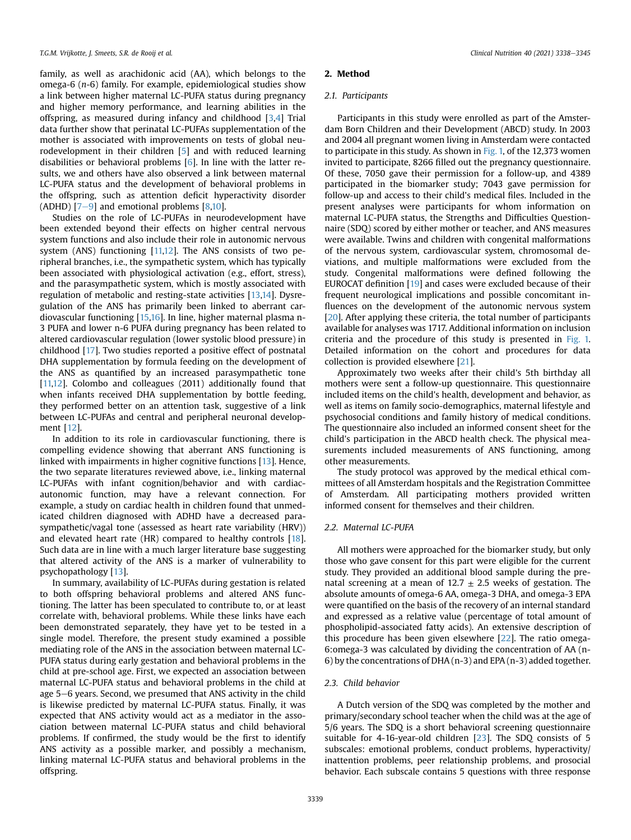family, as well as arachidonic acid (AA), which belongs to the omega-6 (n-6) family. For example, epidemiological studies show a link between higher maternal LC-PUFA status during pregnancy and higher memory performance, and learning abilities in the offspring, as measured during infancy and childhood [[3](#page-8-2)[,4\]](#page-8-3) Trial data further show that perinatal LC-PUFAs supplementation of the mother is associated with improvements on tests of global neurodevelopment in their children [\[5](#page-8-4)] and with reduced learning disabilities or behavioral problems [\[6\]](#page-8-5). In line with the latter results, we and others have also observed a link between maternal LC-PUFA status and the development of behavioral problems in the offspring, such as attention deficit hyperactivity disorder (ADHD)  $[7-9]$  $[7-9]$  $[7-9]$  $[7-9]$  $[7-9]$  and emotional problems  $[8,10]$  $[8,10]$  $[8,10]$ .

Studies on the role of LC-PUFAs in neurodevelopment have been extended beyond their effects on higher central nervous system functions and also include their role in autonomic nervous system (ANS) functioning [\[11,](#page-8-9)[12\]](#page-8-10). The ANS consists of two peripheral branches, i.e., the sympathetic system, which has typically been associated with physiological activation (e.g., effort, stress), and the parasympathetic system, which is mostly associated with regulation of metabolic and resting-state activities [[13,](#page-8-11)[14](#page-8-12)]. Dysregulation of the ANS has primarily been linked to aberrant cardiovascular functioning [[15,](#page-8-13)[16](#page-8-14)]. In line, higher maternal plasma n-3 PUFA and lower n-6 PUFA during pregnancy has been related to altered cardiovascular regulation (lower systolic blood pressure) in childhood [\[17\]](#page-8-15). Two studies reported a positive effect of postnatal DHA supplementation by formula feeding on the development of the ANS as quantified by an increased parasympathetic tone [[11,](#page-8-9)[12\]](#page-8-10). Colombo and colleagues (2011) additionally found that when infants received DHA supplementation by bottle feeding, they performed better on an attention task, suggestive of a link between LC-PUFAs and central and peripheral neuronal development [\[12\]](#page-8-10).

In addition to its role in cardiovascular functioning, there is compelling evidence showing that aberrant ANS functioning is linked with impairments in higher cognitive functions [\[13](#page-8-11)]. Hence, the two separate literatures reviewed above, i.e., linking maternal LC-PUFAs with infant cognition/behavior and with cardiacautonomic function, may have a relevant connection. For example, a study on cardiac health in children found that unmedicated children diagnosed with ADHD have a decreased parasympathetic/vagal tone (assessed as heart rate variability (HRV)) and elevated heart rate (HR) compared to healthy controls [[18\]](#page-8-16). Such data are in line with a much larger literature base suggesting that altered activity of the ANS is a marker of vulnerability to psychopathology [\[13](#page-8-11)].

In summary, availability of LC-PUFAs during gestation is related to both offspring behavioral problems and altered ANS functioning. The latter has been speculated to contribute to, or at least correlate with, behavioral problems. While these links have each been demonstrated separately, they have yet to be tested in a single model. Therefore, the present study examined a possible mediating role of the ANS in the association between maternal LC-PUFA status during early gestation and behavioral problems in the child at pre-school age. First, we expected an association between maternal LC-PUFA status and behavioral problems in the child at age  $5-6$  years. Second, we presumed that ANS activity in the child is likewise predicted by maternal LC-PUFA status. Finally, it was expected that ANS activity would act as a mediator in the association between maternal LC-PUFA status and child behavioral problems. If confirmed, the study would be the first to identify ANS activity as a possible marker, and possibly a mechanism, linking maternal LC-PUFA status and behavioral problems in the offspring.

#### 2. Method

#### 2.1. Participants

Participants in this study were enrolled as part of the Amsterdam Born Children and their Development (ABCD) study. In 2003 and 2004 all pregnant women living in Amsterdam were contacted to participate in this study. As shown in [Fig. 1,](#page-3-0) of the 12,373 women invited to participate, 8266 filled out the pregnancy questionnaire. Of these, 7050 gave their permission for a follow-up, and 4389 participated in the biomarker study; 7043 gave permission for follow-up and access to their child's medical files. Included in the present analyses were participants for whom information on maternal LC-PUFA status, the Strengths and Difficulties Questionnaire (SDQ) scored by either mother or teacher, and ANS measures were available. Twins and children with congenital malformations of the nervous system, cardiovascular system, chromosomal deviations, and multiple malformations were excluded from the study. Congenital malformations were defined following the EUROCAT definition [\[19](#page-8-17)] and cases were excluded because of their frequent neurological implications and possible concomitant influences on the development of the autonomic nervous system [[20](#page-8-18)]. After applying these criteria, the total number of participants available for analyses was 1717. Additional information on inclusion criteria and the procedure of this study is presented in [Fig. 1.](#page-3-0) Detailed information on the cohort and procedures for data collection is provided elsewhere [\[21\]](#page-8-19).

Approximately two weeks after their child's 5th birthday all mothers were sent a follow-up questionnaire. This questionnaire included items on the child's health, development and behavior, as well as items on family socio-demographics, maternal lifestyle and psychosocial conditions and family history of medical conditions. The questionnaire also included an informed consent sheet for the child's participation in the ABCD health check. The physical measurements included measurements of ANS functioning, among other measurements.

The study protocol was approved by the medical ethical committees of all Amsterdam hospitals and the Registration Committee of Amsterdam. All participating mothers provided written informed consent for themselves and their children.

#### 2.2. Maternal LC-PUFA

All mothers were approached for the biomarker study, but only those who gave consent for this part were eligible for the current study. They provided an additional blood sample during the prenatal screening at a mean of 12.7  $\pm$  2.5 weeks of gestation. The absolute amounts of omega-6 AA, omega-3 DHA, and omega-3 EPA were quantified on the basis of the recovery of an internal standard and expressed as a relative value (percentage of total amount of phospholipid-associated fatty acids). An extensive description of this procedure has been given elsewhere [[22](#page-8-20)]. The ratio omega-6:omega-3 was calculated by dividing the concentration of AA (n-6) by the concentrations of DHA (n-3) and EPA (n-3) added together.

#### 2.3. Child behavior

A Dutch version of the SDQ was completed by the mother and primary/secondary school teacher when the child was at the age of 5/6 years. The SDQ is a short behavioral screening questionnaire suitable for 4-16-year-old children [[23](#page-8-21)]. The SDQ consists of 5 subscales: emotional problems, conduct problems, hyperactivity/ inattention problems, peer relationship problems, and prosocial behavior. Each subscale contains 5 questions with three response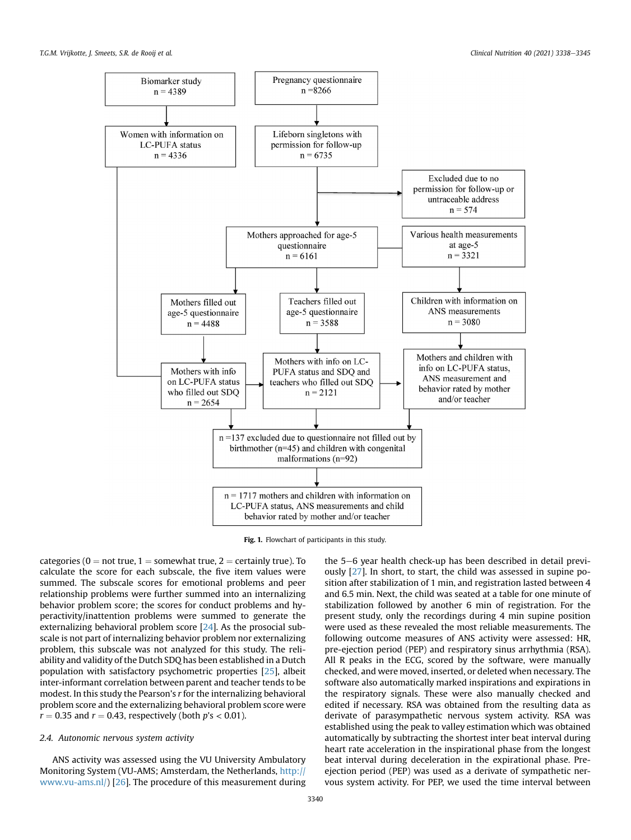<span id="page-3-0"></span>T.G.M. Vrijkotte, J. Smeets, S.R. de Rooij et al. Clinical Nutrition 40 (2021) 3338e3345



Fig. 1. Flowchart of participants in this study.

categories ( $0 = not true$ ,  $1 = somewhat true$ ,  $2 = certainly true$ ). To calculate the score for each subscale, the five item values were summed. The subscale scores for emotional problems and peer relationship problems were further summed into an internalizing behavior problem score; the scores for conduct problems and hyperactivity/inattention problems were summed to generate the externalizing behavioral problem score [[24](#page-8-22)]. As the prosocial subscale is not part of internalizing behavior problem nor externalizing problem, this subscale was not analyzed for this study. The reliability and validity of the Dutch SDQ has been established in a Dutch population with satisfactory psychometric properties [[25](#page-8-23)], albeit inter-informant correlation between parent and teacher tends to be modest. In this study the Pearson's r for the internalizing behavioral problem score and the externalizing behavioral problem score were  $r = 0.35$  and  $r = 0.43$ , respectively (both  $p's < 0.01$ ).

#### 2.4. Autonomic nervous system activity

ANS activity was assessed using the VU University Ambulatory Monitoring System (VU-AMS; Amsterdam, the Netherlands, [http://](http://www.vu-ams.nl/) [www.vu-ams.nl/\)](http://www.vu-ams.nl/) [\[26\]](#page-8-24). The procedure of this measurement during the  $5-6$  year health check-up has been described in detail previously [\[27\]](#page-8-25). In short, to start, the child was assessed in supine position after stabilization of 1 min, and registration lasted between 4 and 6.5 min. Next, the child was seated at a table for one minute of stabilization followed by another 6 min of registration. For the present study, only the recordings during 4 min supine position were used as these revealed the most reliable measurements. The following outcome measures of ANS activity were assessed: HR, pre-ejection period (PEP) and respiratory sinus arrhythmia (RSA). All R peaks in the ECG, scored by the software, were manually checked, and were moved, inserted, or deleted when necessary. The software also automatically marked inspirations and expirations in the respiratory signals. These were also manually checked and edited if necessary. RSA was obtained from the resulting data as derivate of parasympathetic nervous system activity. RSA was established using the peak to valley estimation which was obtained automatically by subtracting the shortest inter beat interval during heart rate acceleration in the inspirational phase from the longest beat interval during deceleration in the expirational phase. Preejection period (PEP) was used as a derivate of sympathetic nervous system activity. For PEP, we used the time interval between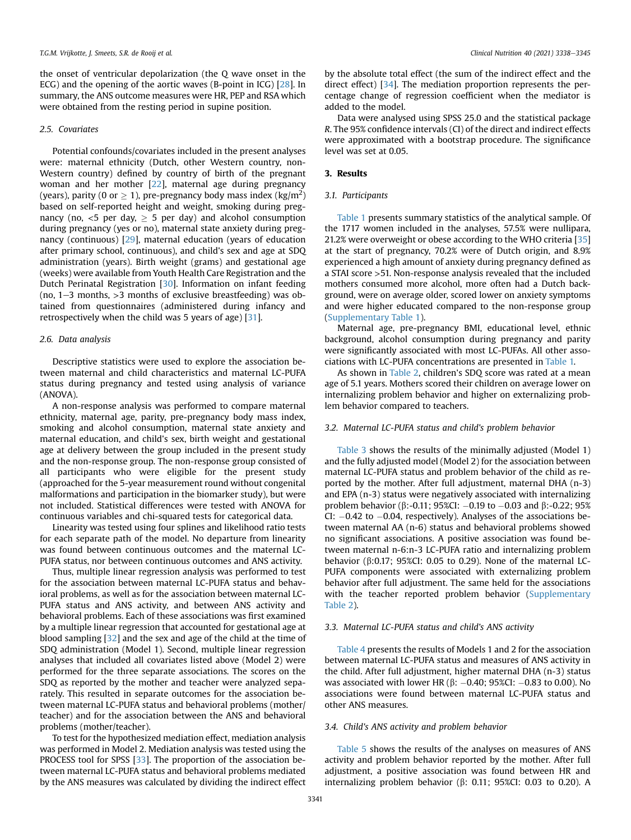the onset of ventricular depolarization (the Q wave onset in the ECG) and the opening of the aortic waves (B-point in ICG) [\[28\]](#page-8-26). In summary, the ANS outcome measures were HR, PEP and RSA which were obtained from the resting period in supine position.

#### 2.5. Covariates

Potential confounds/covariates included in the present analyses were: maternal ethnicity (Dutch, other Western country, non-Western country) defined by country of birth of the pregnant woman and her mother [\[22\]](#page-8-20), maternal age during pregnancy (years), parity (0 or  $\geq$  1), pre-pregnancy body mass index (kg/m<sup>2</sup>) based on self-reported height and weight, smoking during pregnancy (no,  $\lt 5$  per day,  $\ge 5$  per day) and alcohol consumption during pregnancy (yes or no), maternal state anxiety during pregnancy (continuous) [\[29\]](#page-8-27), maternal education (years of education after primary school, continuous), and child's sex and age at SDQ administration (years). Birth weight (grams) and gestational age (weeks) were available from Youth Health Care Registration and the Dutch Perinatal Registration [[30](#page-8-28)]. Information on infant feeding (no,  $1-3$  months,  $>3$  months of exclusive breastfeeding) was obtained from questionnaires (administered during infancy and retrospectively when the child was 5 years of age) [\[31](#page-8-29)].

#### 2.6. Data analysis

Descriptive statistics were used to explore the association between maternal and child characteristics and maternal LC-PUFA status during pregnancy and tested using analysis of variance (ANOVA).

A non-response analysis was performed to compare maternal ethnicity, maternal age, parity, pre-pregnancy body mass index, smoking and alcohol consumption, maternal state anxiety and maternal education, and child's sex, birth weight and gestational age at delivery between the group included in the present study and the non-response group. The non-response group consisted of all participants who were eligible for the present study (approached for the 5-year measurement round without congenital malformations and participation in the biomarker study), but were not included. Statistical differences were tested with ANOVA for continuous variables and chi-squared tests for categorical data.

Linearity was tested using four splines and likelihood ratio tests for each separate path of the model. No departure from linearity was found between continuous outcomes and the maternal LC-PUFA status, nor between continuous outcomes and ANS activity.

Thus, multiple linear regression analysis was performed to test for the association between maternal LC-PUFA status and behavioral problems, as well as for the association between maternal LC-PUFA status and ANS activity, and between ANS activity and behavioral problems. Each of these associations was first examined by a multiple linear regression that accounted for gestational age at blood sampling [\[32\]](#page-8-30) and the sex and age of the child at the time of SDQ administration (Model 1). Second, multiple linear regression analyses that included all covariates listed above (Model 2) were performed for the three separate associations. The scores on the SDQ as reported by the mother and teacher were analyzed separately. This resulted in separate outcomes for the association between maternal LC-PUFA status and behavioral problems (mother/ teacher) and for the association between the ANS and behavioral problems (mother/teacher).

To test for the hypothesized mediation effect, mediation analysis was performed in Model 2. Mediation analysis was tested using the PROCESS tool for SPSS [\[33\]](#page-8-31). The proportion of the association between maternal LC-PUFA status and behavioral problems mediated by the ANS measures was calculated by dividing the indirect effect by the absolute total effect (the sum of the indirect effect and the direct effect) [\[34\]](#page-8-32). The mediation proportion represents the percentage change of regression coefficient when the mediator is added to the model.

Data were analysed using SPSS 25.0 and the statistical package R. The 95% confidence intervals (CI) of the direct and indirect effects were approximated with a bootstrap procedure. The significance level was set at 0.05.

#### 3. Results

#### 3.1. Participants

[Table 1](#page-5-0) presents summary statistics of the analytical sample. Of the 1717 women included in the analyses, 57.5% were nullipara, 21.2% were overweight or obese according to the WHO criteria [\[35\]](#page-8-33) at the start of pregnancy, 70.2% were of Dutch origin, and 8.9% experienced a high amount of anxiety during pregnancy defined as a STAI score >51. Non-response analysis revealed that the included mothers consumed more alcohol, more often had a Dutch background, were on average older, scored lower on anxiety symptoms and were higher educated compared to the non-response group (Supplementary Table 1).

Maternal age, pre-pregnancy BMI, educational level, ethnic background, alcohol consumption during pregnancy and parity were significantly associated with most LC-PUFAs. All other associations with LC-PUFA concentrations are presented in [Table 1.](#page-5-0)

As shown in [Table 2](#page-5-1), children's SDQ score was rated at a mean age of 5.1 years. Mothers scored their children on average lower on internalizing problem behavior and higher on externalizing problem behavior compared to teachers.

#### 3.2. Maternal LC-PUFA status and child's problem behavior

[Table 3](#page-6-0) shows the results of the minimally adjusted (Model 1) and the fully adjusted model (Model 2) for the association between maternal LC-PUFA status and problem behavior of the child as reported by the mother. After full adjustment, maternal DHA (n-3) and EPA (n-3) status were negatively associated with internalizing problem behavior ( $\beta$ :-0.11; 95%CI:  $-0.19$  to  $-0.03$  and  $\beta$ :-0.22; 95% CI:  $-0.42$  to  $-0.04$ , respectively). Analyses of the associations between maternal AA (n-6) status and behavioral problems showed no significant associations. A positive association was found between maternal n-6:n-3 LC-PUFA ratio and internalizing problem behavior ( $\beta$ :0.17; 95%CI: 0.05 to 0.29). None of the maternal LC-PUFA components were associated with externalizing problem behavior after full adjustment. The same held for the associations with the teacher reported problem behavior (Supplementary Table 2).

#### 3.3. Maternal LC-PUFA status and child's ANS activity

[Table 4](#page-6-1) presents the results of Models 1 and 2 for the association between maternal LC-PUFA status and measures of ANS activity in the child. After full adjustment, higher maternal DHA (n-3) status was associated with lower HR ( $\beta$ :  $-0.40$ ; 95%Cl:  $-0.83$  to 0.00). No associations were found between maternal LC-PUFA status and other ANS measures.

#### 3.4. Child's ANS activity and problem behavior

[Table 5](#page-6-2) shows the results of the analyses on measures of ANS activity and problem behavior reported by the mother. After full adjustment, a positive association was found between HR and internalizing problem behavior ( $\beta$ : 0.11; 95%CI: 0.03 to 0.20). A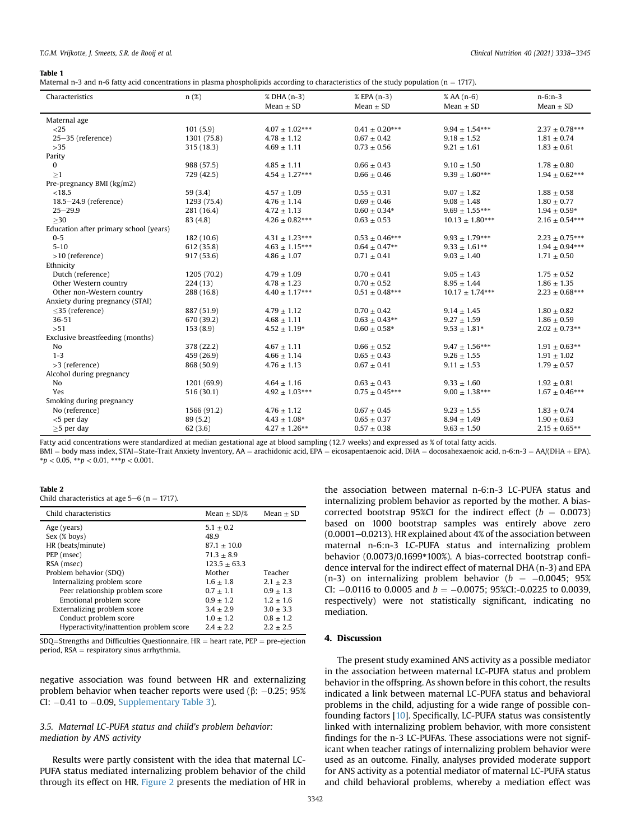#### <span id="page-5-0"></span>Table 1

| Maternal n-3 and n-6 fatty acid concentrations in plasma phospholipids according to characteristics of the study population ( $n = 1717$ ). |
|---------------------------------------------------------------------------------------------------------------------------------------------|
|---------------------------------------------------------------------------------------------------------------------------------------------|

| Characteristics                        | $n(\%)$     | % DHA (n-3)<br>Mean $\pm$ SD | % EPA (n-3)        | $%AA(n-6)$          | $n-6:n-3$          |
|----------------------------------------|-------------|------------------------------|--------------------|---------------------|--------------------|
|                                        |             |                              | Mean $\pm$ SD      | Mean $\pm$ SD       | Mean $\pm$ SD      |
| Maternal age                           |             |                              |                    |                     |                    |
| $<$ 25                                 | 101(5.9)    | $4.07 \pm 1.02***$           | $0.41 \pm 0.20***$ | $9.94 + 1.54***$    | $2.37 \pm 0.78***$ |
| 25-35 (reference)                      | 1301 (75.8) | $4.78 \pm 1.12$              | $0.67 + 0.42$      | $9.18 \pm 1.52$     | $1.81 \pm 0.74$    |
| $>35$                                  | 315 (18.3)  | $4.69 \pm 1.11$              | $0.73 \pm 0.56$    | $9.21 \pm 1.61$     | $1.83 \pm 0.61$    |
| Parity                                 |             |                              |                    |                     |                    |
| $\mathbf{0}$                           | 988 (57.5)  | $4.85 \pm 1.11$              | $0.66 \pm 0.43$    | $9.10 \pm 1.50$     | $1.78 \pm 0.80$    |
| >1                                     | 729 (42.5)  | $4.54 \pm 1.27***$           | $0.66 \pm 0.46$    | $9.39 \pm 1.60***$  | $1.94 \pm 0.62***$ |
| Pre-pregnancy BMI (kg/m2)              |             |                              |                    |                     |                    |
| < 18.5                                 | 59(3.4)     | $4.57 \pm 1.09$              | $0.55 \pm 0.31$    | $9.07 \pm 1.82$     | $1.88 \pm 0.58$    |
| 18.5-24.9 (reference)                  | 1293 (75.4) | $4.76 \pm 1.14$              | $0.69 + 0.46$      | $9.08 + 1.48$       | $1.80 \pm 0.77$    |
| $25 - 29.9$                            | 281 (16.4)  | $4.72 \pm 1.13$              | $0.60 \pm 0.34*$   | $9.69 \pm 1.55***$  | $1.94 \pm 0.59*$   |
| >30                                    | 83 (4.8)    | $4.26 \pm 0.82***$           | $0.63 \pm 0.53$    | $10.13 \pm 1.80***$ | $2.16 \pm 0.54***$ |
| Education after primary school (years) |             |                              |                    |                     |                    |
| $0 - 5$                                | 182 (10.6)  | $4.31 \pm 1.23***$           | $0.53 \pm 0.46***$ | $9.93 \pm 1.79***$  | $2.23 \pm 0.75***$ |
| $5 - 10$                               | 612 (35.8)  | $4.63 \pm 1.15***$           | $0.64 \pm 0.47**$  | $9.33 \pm 1.61***$  | $1.94 \pm 0.94***$ |
| $>10$ (reference)                      | 917(53.6)   | $4.86 \pm 1.07$              | $0.71 \pm 0.41$    | $9.03 \pm 1.40$     | $1.71 \pm 0.50$    |
| Ethnicity                              |             |                              |                    |                     |                    |
| Dutch (reference)                      | 1205 (70.2) | $4.79 \pm 1.09$              | $0.70 \pm 0.41$    | $9.05 \pm 1.43$     | $1.75 \pm 0.52$    |
| Other Western country                  | 224(13)     | $4.78 \pm 1.23$              | $0.70 \pm 0.52$    | $8.95 \pm 1.44$     | $1.86 \pm 1.35$    |
| Other non-Western country              | 288 (16.8)  | $4.40 \pm 1.17***$           | $0.51 \pm 0.48***$ | $10.17 \pm 1.74***$ | $2.23 \pm 0.68***$ |
| Anxiety during pregnancy (STAI)        |             |                              |                    |                     |                    |
| $<$ 35 (reference)                     | 887 (51.9)  | $4.79 \pm 1.12$              | $0.70 \pm 0.42$    | $9.14 \pm 1.45$     | $1.80 \pm 0.82$    |
| 36-51                                  | 670 (39.2)  | $4.68 \pm 1.11$              | $0.63 \pm 0.43**$  | $9.27 \pm 1.59$     | $1.86 \pm 0.59$    |
| >51                                    | 153(8.9)    | $4.52 \pm 1.19*$             | $0.60 \pm 0.58*$   | $9.53 \pm 1.81*$    | $2.02 \pm 0.73**$  |
| Exclusive breastfeeding (months)       |             |                              |                    |                     |                    |
| N <sub>0</sub>                         | 378 (22.2)  | $4.67 \pm 1.11$              | $0.66 \pm 0.52$    | $9.47 \pm 1.56***$  | $1.91 \pm 0.63***$ |
| $1 - 3$                                | 459 (26.9)  | $4.66 \pm 1.14$              | $0.65 \pm 0.43$    | $9.26 \pm 1.55$     | $1.91 \pm 1.02$    |
| >3 (reference)                         | 868 (50.9)  | $4.76 \pm 1.13$              | $0.67 \pm 0.41$    | $9.11 \pm 1.53$     | $1.79 \pm 0.57$    |
| Alcohol during pregnancy               |             |                              |                    |                     |                    |
| No                                     | 1201 (69.9) | $4.64 \pm 1.16$              | $0.63 \pm 0.43$    | $9.33 \pm 1.60$     | $1.92 \pm 0.81$    |
| Yes                                    | 516(30.1)   | $4.92 \pm 1.03***$           | $0.75 \pm 0.45***$ | $9.00 \pm 1.38***$  | $1.67 \pm 0.46***$ |
| Smoking during pregnancy               |             |                              |                    |                     |                    |
| No (reference)                         | 1566 (91.2) | $4.76 \pm 1.12$              | $0.67 \pm 0.45$    | $9.23 \pm 1.55$     | $1.83 \pm 0.74$    |
| $<$ 5 per day                          | 89 (5.2)    | $4.43 \pm 1.08*$             | $0.65 \pm 0.37$    | $8.94 \pm 1.49$     | $1.90 \pm 0.63$    |
| $\geq$ 5 per day                       | 62(3.6)     | $4.27 \pm 1.26***$           | $0.57 \pm 0.38$    | $9.63 \pm 1.50$     | $2.15 \pm 0.65***$ |

Fatty acid concentrations were standardized at median gestational age at blood sampling (12.7 weeks) and expressed as % of total fatty acids.

 $BMI = body$  mass index, STAI=State-Trait Anxiety Inventory, AA = arachidonic acid, EPA = eicosapentaenoic acid, DHA = docosahexaenoic acid, n-6:n-3 = AA/(DHA + EPA).  $^*p < 0.05, \, ^{**}p < 0.01, \, ^{***}p < 0.001.$ 

#### <span id="page-5-1"></span>Table 2

Child characteristics at age  $5-6$  (n = 1717).

| Child characteristics                   | Mean $\pm$ SD/% | $Mean + SD$   |
|-----------------------------------------|-----------------|---------------|
| Age (years)                             | $5.1 \pm 0.2$   |               |
| Sex (% boys)                            | 48.9            |               |
| HR (beats/minute)                       | $87.1 + 10.0$   |               |
| PEP (msec)                              | $71.3 + 8.9$    |               |
| RSA (msec)                              | $123.5 + 63.3$  |               |
| Problem behavior (SDO)                  | Mother          | Teacher       |
| Internalizing problem score             | $1.6 + 1.8$     | $2.1 + 2.3$   |
| Peer relationship problem score         | $0.7 + 1.1$     | $0.9 + 1.3$   |
| Emotional problem score                 | $0.9 + 1.2$     | $1.2 + 1.6$   |
| Externalizing problem score             | $3.4 + 2.9$     | $3.0 + 3.3$   |
| Conduct problem score                   | $1.0 + 1.2$     | $0.8 \pm 1.2$ |
| Hyperactivity/inattention problem score | $2.4 + 2.2$     | $2.2 + 2.5$   |

 $SDQ$ =Strengths and Difficulties Questionnaire, HR = heart rate, PEP = pre-ejection period,  $RSA =$  respiratory sinus arrhythmia.

negative association was found between HR and externalizing problem behavior when teacher reports were used (β:  $-0.25$ ; 95%  $Cl: -0.41$  to  $-0.09$ , Supplementary Table 3).

#### 3.5. Maternal LC-PUFA status and child's problem behavior: mediation by ANS activity

Results were partly consistent with the idea that maternal LC-PUFA status mediated internalizing problem behavior of the child through its effect on HR. [Figure 2](#page-7-0) presents the mediation of HR in the association between maternal n-6:n-3 LC-PUFA status and internalizing problem behavior as reported by the mother. A biascorrected bootstrap 95%CI for the indirect effect ( $b = 0.0073$ ) based on 1000 bootstrap samples was entirely above zero  $(0.0001 - 0.0213)$ . HR explained about 4% of the association between maternal n-6:n-3 LC-PUFA status and internalizing problem behavior (0.0073/0.1699\*100%). A bias-corrected bootstrap confidence interval for the indirect effect of maternal DHA (n-3) and EPA (n-3) on internalizing problem behavior ( $b = -0.0045$ ; 95% CI:  $-0.0116$  to 0.0005 and  $b = -0.0075$ ; 95%CI:-0.0225 to 0.0039, respectively) were not statistically significant, indicating no mediation.

#### 4. Discussion

The present study examined ANS activity as a possible mediator in the association between maternal LC-PUFA status and problem behavior in the offspring. As shown before in this cohort, the results indicated a link between maternal LC-PUFA status and behavioral problems in the child, adjusting for a wide range of possible confounding factors [[10\]](#page-8-8). Specifically, LC-PUFA status was consistently linked with internalizing problem behavior, with more consistent findings for the n-3 LC-PUFAs. These associations were not significant when teacher ratings of internalizing problem behavior were used as an outcome. Finally, analyses provided moderate support for ANS activity as a potential mediator of maternal LC-PUFA status and child behavioral problems, whereby a mediation effect was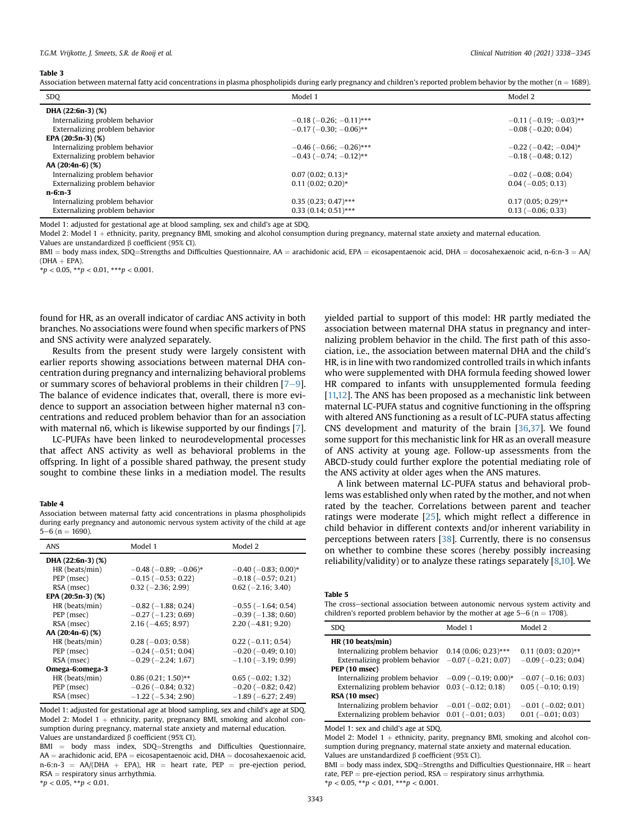#### <span id="page-6-0"></span>Table 3

Association between maternal fatty acid concentrations in plasma phospholipids during early pregnancy and children's reported problem behavior by the mother (n = 1689).

| SDQ                            | Model 1                          | Model 2                         |
|--------------------------------|----------------------------------|---------------------------------|
| DHA $(22:6n-3)$ $(\%)$         |                                  |                                 |
| Internalizing problem behavior | $-0.18$ ( $-0.26$ ; $-0.11$ )*** | $-0.11$ ( $-0.19$ ; $-0.03$ )** |
| Externalizing problem behavior | $-0.17$ ( $-0.30$ ; $-0.06$ )**  | $-0.08$ ( $-0.20$ ; 0.04)       |
| EPA $(20:5n-3)$ $(\%)$         |                                  |                                 |
| Internalizing problem behavior | $-0.46$ ( $-0.66$ ; $-0.26$ )*** | $-0.22$ ( $-0.42$ ; $-0.04$ )*  |
| Externalizing problem behavior | $-0.43$ ( $-0.74$ ; $-0.12$ )**  | $-0.18$ ( $-0.48$ ; 0.12)       |
| $AA(20:4n-6)(%)$               |                                  |                                 |
| Internalizing problem behavior | $0.07(0.02; 0.13)*$              | $-0.02$ ( $-0.08$ ; 0.04)       |
| Externalizing problem behavior | $0.11(0.02; 0.20)$ *             | $0.04 (-0.05; 0.13)$            |
| $n-6:n-3$                      |                                  |                                 |
| Internalizing problem behavior | $0.35(0.23; 0.47)$ ***           | $0.17(0.05; 0.29)$ **           |
| Externalizing problem behavior | $0.33(0.14; 0.51)$ ***           | $0.13$ (-0.06; 0.33)            |

Model 1: adjusted for gestational age at blood sampling, sex and child's age at SDQ.

Model 2: Model 1 + ethnicity, parity, pregnancy BMI, smoking and alcohol consumption during pregnancy, maternal state anxiety and maternal education. Values are unstandardized  $\beta$  coefficient (95% CI).

 $BMI = body$  mass index, SDQ=Strengths and Difficulties Questionnaire, AA = arachidonic acid, EPA = eicosapentaenoic acid, DHA = docosahexaenoic acid, n-6:n-3 = AA/  $(DHA + EPA)$ .

 $*p < 0.05, **p < 0.01, **p < 0.001.$ 

found for HR, as an overall indicator of cardiac ANS activity in both branches. No associations were found when specific markers of PNS and SNS activity were analyzed separately.

Results from the present study were largely consistent with earlier reports showing associations between maternal DHA concentration during pregnancy and internalizing behavioral problems or summary scores of behavioral problems in their children  $[7-9]$  $[7-9]$  $[7-9]$ . The balance of evidence indicates that, overall, there is more evidence to support an association between higher maternal n3 concentrations and reduced problem behavior than for an association with maternal n6, which is likewise supported by our findings [\[7\]](#page-8-6).

LC-PUFAs have been linked to neurodevelopmental processes that affect ANS activity as well as behavioral problems in the offspring. In light of a possible shared pathway, the present study sought to combine these links in a mediation model. The results

#### <span id="page-6-1"></span>Table 4

Association between maternal fatty acid concentrations in plasma phospholipids during early pregnancy and autonomic nervous system activity of the child at age  $5-6$  (n = 1690).

| <b>ANS</b>            | Model 1                        | Model 2                    |
|-----------------------|--------------------------------|----------------------------|
| DHA (22:6n-3) (%)     |                                |                            |
| HR (beats/min)        | $-0.48$ ( $-0.89$ ; $-0.06$ )* | $-0.40$ ( $-0.83$ ; 0.00)* |
| PEP (msec)            | $-0.15$ ( $-0.53$ ; 0.22)      | $-0.18$ ( $-0.57$ ; 0.21)  |
| RSA (msec)            | $0.32$ (-2.36; 2.99)           | $0.62$ (-2.16; 3.40)       |
| EPA (20:5n-3) (%)     |                                |                            |
| HR (beats/min)        | $-0.82$ ( $-1.88$ ; 0.24)      | $-0.55$ ( $-1.64$ ; 0.54)  |
| PEP (msec)            | $-0.27$ ( $-1.23$ ; 0.69)      | $-0.39(-1.38; 0.60)$       |
| RSA (msec)            | $2.16(-4.65; 8.97)$            | $2.20(-4.81; 9.20)$        |
| AA $(20:4n-6)$ $(\%)$ |                                |                            |
| HR (beats/min)        | $0.28$ ( $-0.03$ ; 0.58)       | $0.22$ (-0.11; 0.54)       |
| PEP (msec)            | $-0.24$ ( $-0.51$ ; 0.04)      | $-0.20$ ( $-0.49$ ; 0.10)  |
| RSA (msec)            | $-0.29$ ( $-2.24$ ; 1.67)      | $-1.10$ ( $-3.19$ ; 0.99)  |
| Omega-6:omega-3       |                                |                            |
| HR (beats/min)        | $0.86(0.21; 1.50)$ **          | $0.65$ ( $-0.02$ ; 1.32)   |
| PEP (msec)            | $-0.26$ ( $-0.84$ ; 0.32)      | $-0.20$ ( $-0.82$ ; 0.42)  |
| RSA (msec)            | $-1.22$ ( $-5.34$ ; 2.90)      | $-1.89(-6.27; 2.49)$       |

Model 1: adjusted for gestational age at blood sampling, sex and child's age at SDQ. Model 2: Model  $1 +$  ethnicity, parity, pregnancy BMI, smoking and alcohol consumption during pregnancy, maternal state anxiety and maternal education. Values are unstandardized  $\beta$  coefficient (95% CI).

 $BMI = body$  mass index, SDQ=Strengths and Difficulties Questionnaire,  $AA =$  arachidonic acid, EPA = eicosapentaenoic acid, DHA = docosahexaenoic acid,  $n-6:n-3 = AA/CDHA + EPA$ ),  $HR = heart$  rate,  $PEP = pre-ejection$  period,  $RSA = respiratory$  sinus arrhythmia.

 $**p* < 0.05, ***p* < 0.01.$ 

yielded partial to support of this model: HR partly mediated the association between maternal DHA status in pregnancy and internalizing problem behavior in the child. The first path of this association, i.e., the association between maternal DHA and the child's HR, is in line with two randomized controlled trails in which infants who were supplemented with DHA formula feeding showed lower HR compared to infants with unsupplemented formula feeding [[11,](#page-8-9)[12\]](#page-8-10). The ANS has been proposed as a mechanistic link between maternal LC-PUFA status and cognitive functioning in the offspring with altered ANS functioning as a result of LC-PUFA status affecting CNS development and maturity of the brain [\[36,](#page-8-34)[37](#page-8-35)]. We found some support for this mechanistic link for HR as an overall measure of ANS activity at young age. Follow-up assessments from the ABCD-study could further explore the potential mediating role of the ANS activity at older ages when the ANS matures.

A link between maternal LC-PUFA status and behavioral problems was established only when rated by the mother, and not when rated by the teacher. Correlations between parent and teacher ratings were moderate [[25](#page-8-23)], which might reflect a difference in child behavior in different contexts and/or inherent variability in perceptions between raters [\[38\]](#page-8-36). Currently, there is no consensus on whether to combine these scores (hereby possibly increasing reliability/validity) or to analyze these ratings separately  $[8,10]$  $[8,10]$  $[8,10]$ . We

#### <span id="page-6-2"></span>Table 5

The cross-sectional association between autonomic nervous system activity and children's reported problem behavior by the mother at age  $5-6$  (n = 1708).

| SDO.                                                      | Model 1                   | Model 2                   |
|-----------------------------------------------------------|---------------------------|---------------------------|
| HR (10 beats/min)                                         |                           |                           |
| Internalizing problem behavior                            | $0.14(0.06; 0.23)$ ***    | $0.11(0.03; 0.20)$ **     |
| Externalizing problem behavior $-0.07$ ( $-0.21$ ; 0.07)  |                           | $-0.09$ ( $-0.23$ ; 0.04) |
| PEP (10 msec)                                             |                           |                           |
| Internalizing problem behavior $-0.09$ ( $-0.19$ ; 0.00)* |                           | $-0.07$ ( $-0.16$ ; 0.03) |
| Externalizing problem behavior $0.03$ ( $-0.12$ ; 0.18)   |                           | $0.05$ ( $-0.10$ ; 0.19)  |
| RSA (10 msec)                                             |                           |                           |
| Internalizing problem behavior                            | $-0.01$ ( $-0.02$ ; 0.01) | $-0.01$ ( $-0.02$ ; 0.01) |
| Externalizing problem behavior $0.01$ (-0.01; 0.03)       |                           | $0.01 (-0.01; 0.03)$      |

Model 1: sex and child's age at SDQ.

Model 2: Model  $1 +$  ethnicity, parity, pregnancy BMI, smoking and alcohol consumption during pregnancy, maternal state anxiety and maternal education. Values are unstandardized  $\beta$  coefficient (95% CI).

 $BMI = body$  mass index, SDQ=Strengths and Difficulties Questionnaire,  $HR = heart$ rate,  $PEP = pre-ejection period$ ,  $RSA = respiratory sinus$  arrhythmia.  $*p < 0.05, **p < 0.01, **p < 0.001.$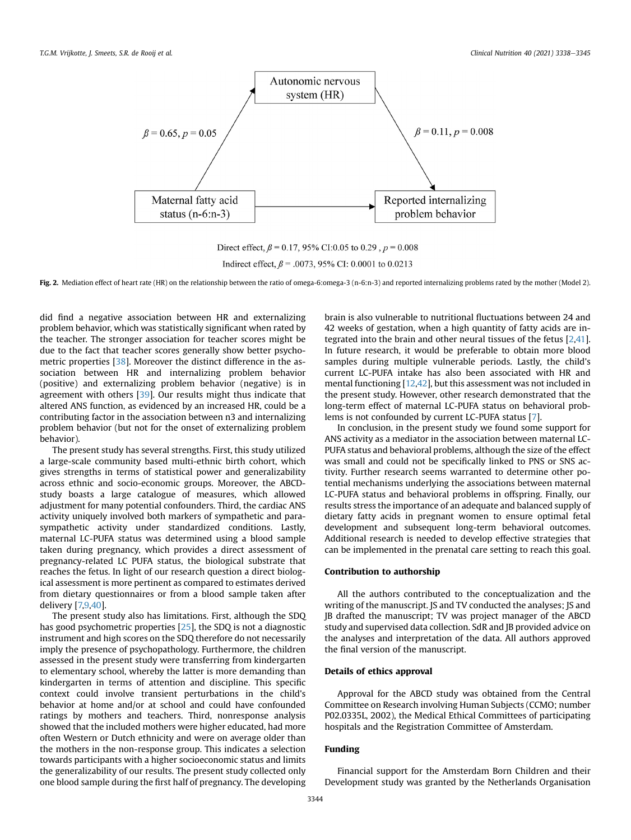<span id="page-7-0"></span>

Direct effect,  $\beta$  = 0.17, 95% CI:0.05 to 0.29,  $p$  = 0.008 Indirect effect,  $\beta$  = .0073, 95% CI: 0.0001 to 0.0213

Fig. 2. Mediation effect of heart rate (HR) on the relationship between the ratio of omega-6:omega-3 (n-6:n-3) and reported internalizing problems rated by the mother (Model 2).

did find a negative association between HR and externalizing problem behavior, which was statistically significant when rated by the teacher. The stronger association for teacher scores might be due to the fact that teacher scores generally show better psychometric properties [\[38\]](#page-8-36). Moreover the distinct difference in the association between HR and internalizing problem behavior (positive) and externalizing problem behavior (negative) is in agreement with others [[39](#page-8-37)]. Our results might thus indicate that altered ANS function, as evidenced by an increased HR, could be a contributing factor in the association between n3 and internalizing problem behavior (but not for the onset of externalizing problem behavior).

The present study has several strengths. First, this study utilized a large-scale community based multi-ethnic birth cohort, which gives strengths in terms of statistical power and generalizability across ethnic and socio-economic groups. Moreover, the ABCDstudy boasts a large catalogue of measures, which allowed adjustment for many potential confounders. Third, the cardiac ANS activity uniquely involved both markers of sympathetic and parasympathetic activity under standardized conditions. Lastly, maternal LC-PUFA status was determined using a blood sample taken during pregnancy, which provides a direct assessment of pregnancy-related LC PUFA status, the biological substrate that reaches the fetus. In light of our research question a direct biological assessment is more pertinent as compared to estimates derived from dietary questionnaires or from a blood sample taken after delivery [[7](#page-8-6)[,9](#page-8-38)[,40\]](#page-8-39).

The present study also has limitations. First, although the SDQ has good psychometric properties [[25](#page-8-23)], the SDQ is not a diagnostic instrument and high scores on the SDQ therefore do not necessarily imply the presence of psychopathology. Furthermore, the children assessed in the present study were transferring from kindergarten to elementary school, whereby the latter is more demanding than kindergarten in terms of attention and discipline. This specific context could involve transient perturbations in the child's behavior at home and/or at school and could have confounded ratings by mothers and teachers. Third, nonresponse analysis showed that the included mothers were higher educated, had more often Western or Dutch ethnicity and were on average older than the mothers in the non-response group. This indicates a selection towards participants with a higher socioeconomic status and limits the generalizability of our results. The present study collected only one blood sample during the first half of pregnancy. The developing brain is also vulnerable to nutritional fluctuations between 24 and 42 weeks of gestation, when a high quantity of fatty acids are integrated into the brain and other neural tissues of the fetus [\[2,](#page-8-1)[41\]](#page-8-40). In future research, it would be preferable to obtain more blood samples during multiple vulnerable periods. Lastly, the child's current LC-PUFA intake has also been associated with HR and mental functioning [\[12](#page-8-10)[,42\]](#page-8-41), but this assessment was not included in the present study. However, other research demonstrated that the long-term effect of maternal LC-PUFA status on behavioral problems is not confounded by current LC-PUFA status [\[7\]](#page-8-6).

In conclusion, in the present study we found some support for ANS activity as a mediator in the association between maternal LC-PUFA status and behavioral problems, although the size of the effect was small and could not be specifically linked to PNS or SNS activity. Further research seems warranted to determine other potential mechanisms underlying the associations between maternal LC-PUFA status and behavioral problems in offspring. Finally, our results stress the importance of an adequate and balanced supply of dietary fatty acids in pregnant women to ensure optimal fetal development and subsequent long-term behavioral outcomes. Additional research is needed to develop effective strategies that can be implemented in the prenatal care setting to reach this goal.

#### Contribution to authorship

All the authors contributed to the conceptualization and the writing of the manuscript. JS and TV conducted the analyses; JS and JB drafted the manuscript; TV was project manager of the ABCD study and supervised data collection. SdR and JB provided advice on the analyses and interpretation of the data. All authors approved the final version of the manuscript.

#### Details of ethics approval

Approval for the ABCD study was obtained from the Central Committee on Research involving Human Subjects (CCMO; number P02.0335L, 2002), the Medical Ethical Committees of participating hospitals and the Registration Committee of Amsterdam.

#### Funding

Financial support for the Amsterdam Born Children and their Development study was granted by the Netherlands Organisation